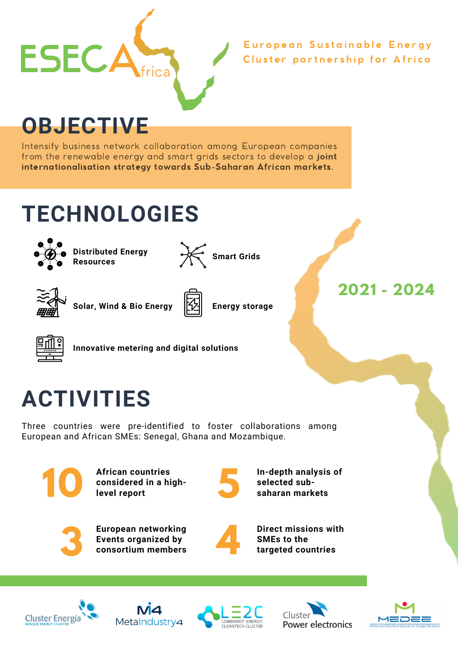

Cluster partnership for Africa European Sustainable Energy

**OBJECTIVE**

Intensify business network collaboration among European companies from the renewable energy and smart grids sectors to develop a joint internationalisation strategy towards Sub-Saharan African markets.

## **TECHNOLOGIES**



**Distributed Energy Resources**



**Smart Grids**



**Solar, Wind & Bio Energy Energy storage**





**Innovative metering and digital solutions**

## **ACTIVITIES**

Three countries were pre-identified to foster collaborations among European and African SMEs: Senegal, Ghana and Mozambique.



**African countries considered in a highlevel report**



**In-depth analysis of selected sub- 5 saharan markets**



**European networking Events organized by consortium members**



**Direct missions with SMEs to the 4 targeted countries**











**2021 - 2024**